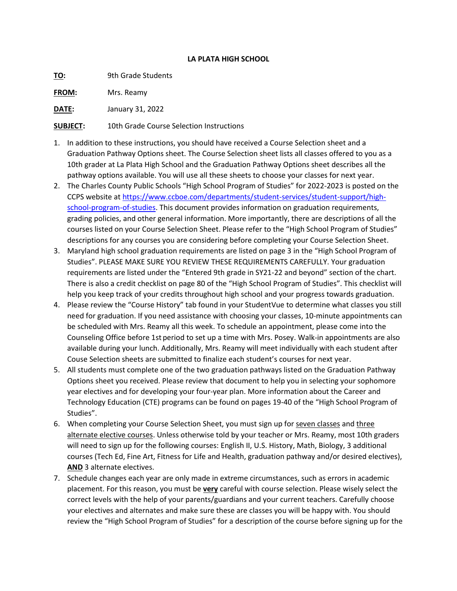## **LA PLATA HIGH SCHOOL**

**TO:** 9th Grade Students

**FROM:** Mrs. Reamy

**DATE:** January 31, 2022

**SUBJECT:** 10th Grade Course Selection Instructions

- 1. In addition to these instructions, you should have received a Course Selection sheet and a Graduation Pathway Options sheet. The Course Selection sheet lists all classes offered to you as a 10th grader at La Plata High School and the Graduation Pathway Options sheet describes all the pathway options available. You will use all these sheets to choose your classes for next year.
- 2. The Charles County Public Schools "High School Program of Studies" for 2022-2023 is posted on the CCPS website at [https://www.ccboe.com/departments/student-services/student-support/high](https://www.ccboe.com/departments/student-services/student-support/high-school-program-of-studies)[school-program-of-studies.](https://www.ccboe.com/departments/student-services/student-support/high-school-program-of-studies) This document provides information on graduation requirements, grading policies, and other general information. More importantly, there are descriptions of all the courses listed on your Course Selection Sheet. Please refer to the "High School Program of Studies" descriptions for any courses you are considering before completing your Course Selection Sheet.
- 3. Maryland high school graduation requirements are listed on page 3 in the "High School Program of Studies". PLEASE MAKE SURE YOU REVIEW THESE REQUIREMENTS CAREFULLY. Your graduation requirements are listed under the "Entered 9th grade in SY21-22 and beyond" section of the chart. There is also a credit checklist on page 80 of the "High School Program of Studies". This checklist will help you keep track of your credits throughout high school and your progress towards graduation.
- 4. Please review the "Course History" tab found in your StudentVue to determine what classes you still need for graduation. If you need assistance with choosing your classes, 10-minute appointments can be scheduled with Mrs. Reamy all this week. To schedule an appointment, please come into the Counseling Office before 1st period to set up a time with Mrs. Posey. Walk-in appointments are also available during your lunch. Additionally, Mrs. Reamy will meet individually with each student after Couse Selection sheets are submitted to finalize each student's courses for next year.
- 5. All students must complete one of the two graduation pathways listed on the Graduation Pathway Options sheet you received. Please review that document to help you in selecting your sophomore year electives and for developing your four-year plan. More information about the Career and Technology Education (CTE) programs can be found on pages 19-40 of the "High School Program of Studies".
- 6. When completing your Course Selection Sheet, you must sign up for seven classes and three alternate elective courses. Unless otherwise told by your teacher or Mrs. Reamy, most 10th graders will need to sign up for the following courses: English II, U.S. History, Math, Biology, 3 additional courses (Tech Ed, Fine Art, Fitness for Life and Health, graduation pathway and/or desired electives), **AND** 3 alternate electives.
- 7. Schedule changes each year are only made in extreme circumstances, such as errors in academic placement. For this reason, you must be **very** careful with course selection. Please wisely select the correct levels with the help of your parents/guardians and your current teachers. Carefully choose your electives and alternates and make sure these are classes you will be happy with. You should review the "High School Program of Studies" for a description of the course before signing up for the